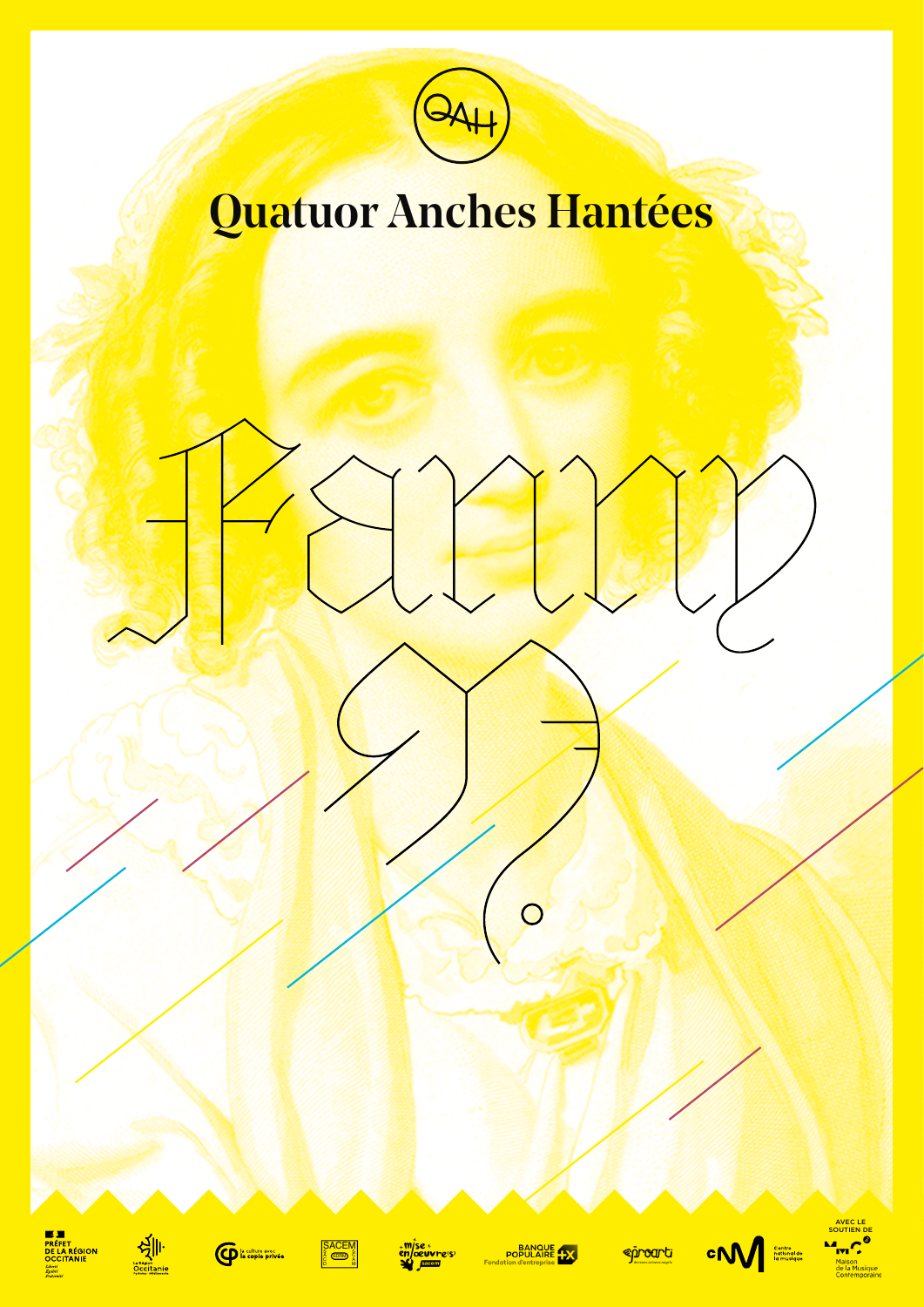

# Quatuor Anches Hantées